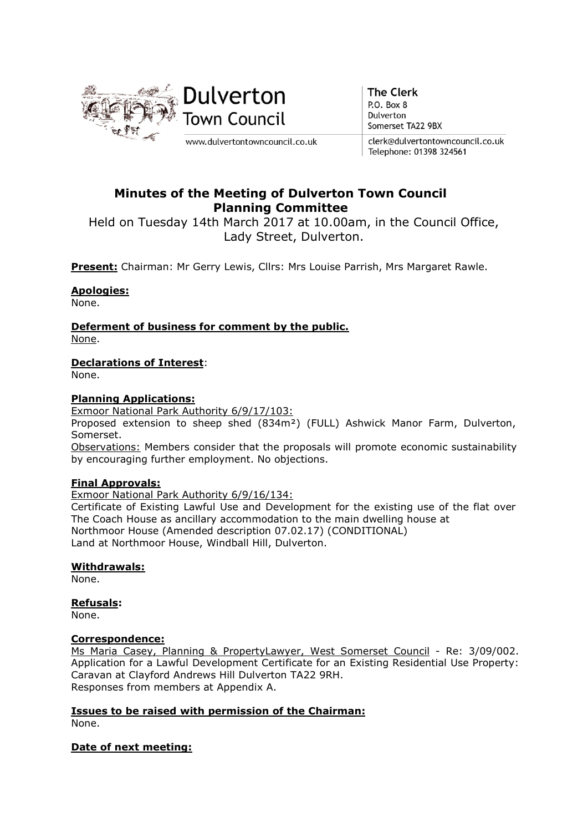

**The Clerk** P.O. Box 8 Dulverton Somerset TA22 9BX

clerk@dulvertontowncouncil.co.uk Telephone: 01398 324561

# Minutes of the Meeting of Dulverton Town Council Planning Committee

Held on Tuesday 14th March 2017 at 10.00am, in the Council Office, Lady Street, Dulverton.

Present: Chairman: Mr Gerry Lewis, Cllrs: Mrs Louise Parrish, Mrs Margaret Rawle.

## Apologies:

None.

Deferment of business for comment by the public. None.

## Declarations of Interest:

None.

#### Planning Applications:

Exmoor National Park Authority 6/9/17/103:

Proposed extension to sheep shed (834m²) (FULL) Ashwick Manor Farm, Dulverton, Somerset.

Observations: Members consider that the proposals will promote economic sustainability by encouraging further employment. No objections.

## Final Approvals:

Exmoor National Park Authority 6/9/16/134:

Certificate of Existing Lawful Use and Development for the existing use of the flat over The Coach House as ancillary accommodation to the main dwelling house at Northmoor House (Amended description 07.02.17) (CONDITIONAL) Land at Northmoor House, Windball Hill, Dulverton.

## Withdrawals:

None.

#### Refusals:

None.

#### Correspondence:

Ms Maria Casey, Planning & PropertyLawyer, West Somerset Council - Re: 3/09/002. Application for a Lawful Development Certificate for an Existing Residential Use Property: Caravan at Clayford Andrews Hill Dulverton TA22 9RH. Responses from members at Appendix A.

## Issues to be raised with permission of the Chairman:

None.

#### Date of next meeting: